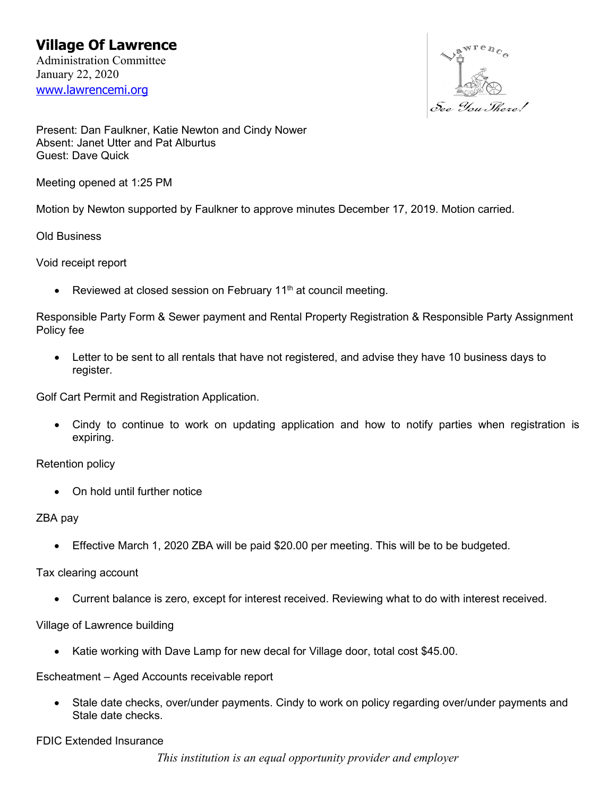

Present: Dan Faulkner, Katie Newton and Cindy Nower Absent: Janet Utter and Pat Alburtus Guest: Dave Quick

Meeting opened at 1:25 PM

Motion by Newton supported by Faulkner to approve minutes December 17, 2019. Motion carried.

Old Business

Void receipt report

• Reviewed at closed session on February  $11<sup>th</sup>$  at council meeting.

Responsible Party Form & Sewer payment and Rental Property Registration & Responsible Party Assignment Policy fee

• Letter to be sent to all rentals that have not registered, and advise they have 10 business days to register.

Golf Cart Permit and Registration Application.

• Cindy to continue to work on updating application and how to notify parties when registration is expiring.

Retention policy

• On hold until further notice

### ZBA pay

• Effective March 1, 2020 ZBA will be paid \$20.00 per meeting. This will be to be budgeted.

Tax clearing account

• Current balance is zero, except for interest received. Reviewing what to do with interest received.

### Village of Lawrence building

• Katie working with Dave Lamp for new decal for Village door, total cost \$45.00.

Escheatment – Aged Accounts receivable report

• Stale date checks, over/under payments. Cindy to work on policy regarding over/under payments and Stale date checks.

FDIC Extended Insurance

*This institution is an equal opportunity provider and employer*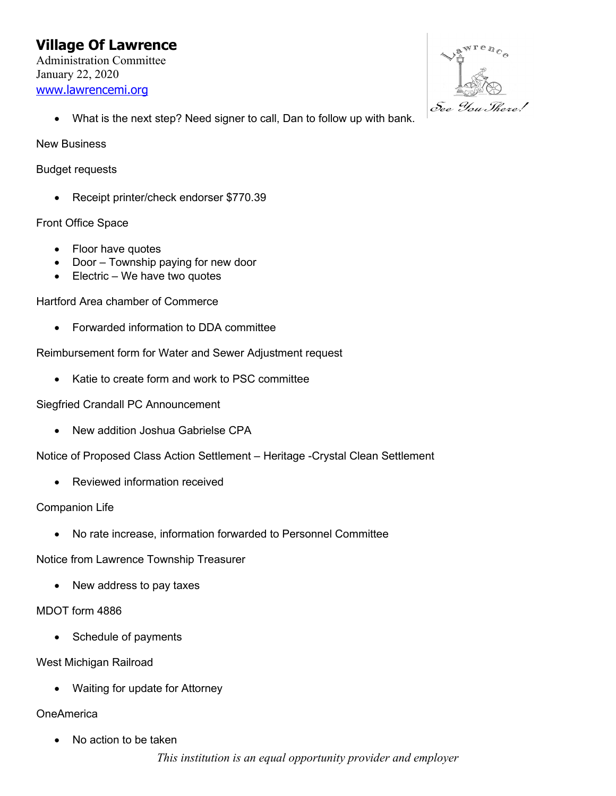# **Village Of Lawrence** Administration Committee January 22, 2020 [www.lawrencemi.org](http://www.lawrencemi.org/)



• What is the next step? Need signer to call, Dan to follow up with bank.

New Business

Budget requests

• Receipt printer/check endorser \$770.39

## Front Office Space

- Floor have quotes
- Door Township paying for new door
- Electric We have two quotes

Hartford Area chamber of Commerce

• Forwarded information to DDA committee

Reimbursement form for Water and Sewer Adjustment request

• Katie to create form and work to PSC committee

Siegfried Crandall PC Announcement

• New addition Joshua Gabrielse CPA

Notice of Proposed Class Action Settlement – Heritage -Crystal Clean Settlement

• Reviewed information received

### Companion Life

• No rate increase, information forwarded to Personnel Committee

Notice from Lawrence Township Treasurer

• New address to pay taxes

### MDOT form 4886

• Schedule of payments

### West Michigan Railroad

• Waiting for update for Attorney

## **OneAmerica**

No action to be taken